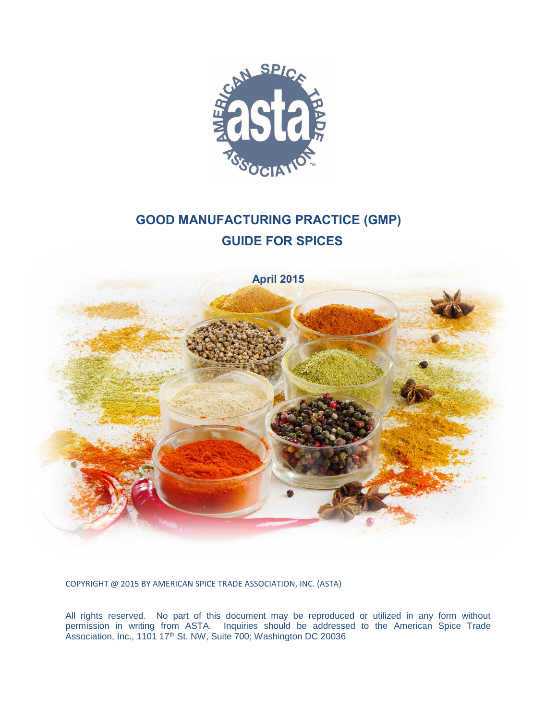

# **GOOD MANUFACTURING PRACTICE (GMP) GUIDE FOR SPICES**



COPYRIGHT @ 2015 BY AMERICAN SPICE TRADE ASSOCIATION, INC. (ASTA)

All rights reserved. No part of this document may be reproduced or utilized in any form without permission in writing from ASTA. Inquiries should be addressed to the American Spice Trade Association, Inc., 1101 17<sup>th</sup> St. NW, Suite 700; Washington DC 20036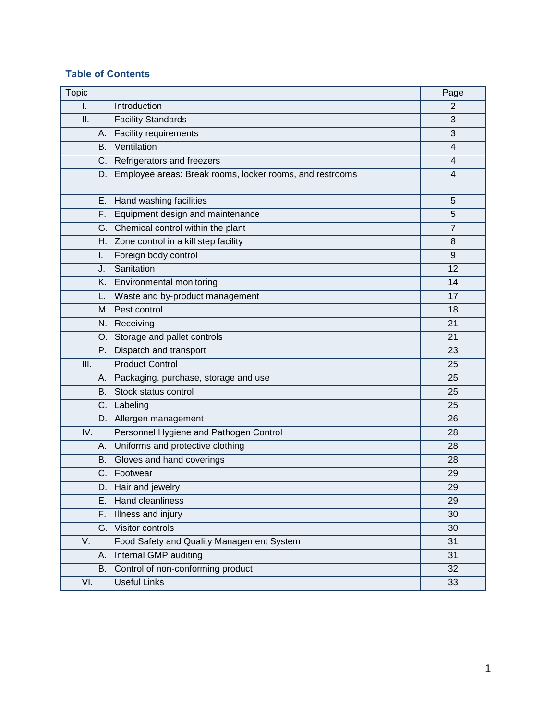## **Table of Contents**

| Topic |                                                             | Page           |
|-------|-------------------------------------------------------------|----------------|
| I.    | Introduction                                                | $\overline{2}$ |
| ΙΙ.   | <b>Facility Standards</b>                                   | 3              |
|       | A. Facility requirements                                    | 3              |
|       | <b>B.</b> Ventilation                                       | $\overline{4}$ |
|       | C. Refrigerators and freezers                               | 4              |
|       | D. Employee areas: Break rooms, locker rooms, and restrooms | 4              |
|       | E. Hand washing facilities                                  | 5              |
|       | F. Equipment design and maintenance                         | 5              |
|       | G. Chemical control within the plant                        | $\overline{7}$ |
|       | H. Zone control in a kill step facility                     | 8              |
| L.    | Foreign body control                                        | 9              |
| J.    | Sanitation                                                  | 12             |
|       | K. Environmental monitoring                                 | 14             |
|       | L. Waste and by-product management                          | 17             |
|       | M. Pest control                                             | 18             |
|       | N. Receiving                                                | 21             |
|       | O. Storage and pallet controls                              | 21             |
|       | P. Dispatch and transport                                   | 23             |
| III.  | <b>Product Control</b>                                      | 25             |
|       | A. Packaging, purchase, storage and use                     | 25             |
|       | B. Stock status control                                     | 25             |
|       | C. Labeling                                                 | 25             |
|       | D. Allergen management                                      | 26             |
| IV.   | Personnel Hygiene and Pathogen Control                      | 28             |
|       | A. Uniforms and protective clothing                         | 28             |
|       | B. Gloves and hand coverings                                | 28             |
|       | C. Footwear                                                 | 29             |
|       | D. Hair and jewelry                                         | 29             |
| Е.    | Hand cleanliness                                            | 29             |
| F.    | Illness and injury                                          | 30             |
|       | G. Visitor controls                                         | 30             |
| V.    | Food Safety and Quality Management System                   | 31             |
| А.    | Internal GMP auditing                                       | 31             |
|       | B. Control of non-conforming product                        | 32             |
| VI.   | <b>Useful Links</b>                                         | 33             |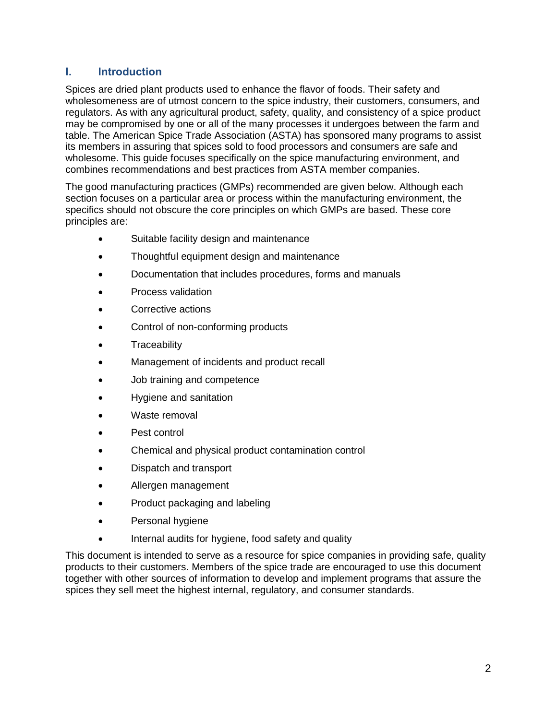# **I. Introduction**

Spices are dried plant products used to enhance the flavor of foods. Their safety and wholesomeness are of utmost concern to the spice industry, their customers, consumers, and regulators. As with any agricultural product, safety, quality, and consistency of a spice product may be compromised by one or all of the many processes it undergoes between the farm and table. The American Spice Trade Association (ASTA) has sponsored many programs to assist its members in assuring that spices sold to food processors and consumers are safe and wholesome. This guide focuses specifically on the spice manufacturing environment, and combines recommendations and best practices from ASTA member companies.

The good manufacturing practices (GMPs) recommended are given below. Although each section focuses on a particular area or process within the manufacturing environment, the specifics should not obscure the core principles on which GMPs are based. These core principles are:

- Suitable facility design and maintenance
- Thoughtful equipment design and maintenance
- Documentation that includes procedures, forms and manuals
- Process validation
- Corrective actions
- Control of non-conforming products
- Traceability
- Management of incidents and product recall
- Job training and competence
- Hygiene and sanitation
- Waste removal
- Pest control
- Chemical and physical product contamination control
- Dispatch and transport
- Allergen management
- Product packaging and labeling
- Personal hygiene
- Internal audits for hygiene, food safety and quality

This document is intended to serve as a resource for spice companies in providing safe, quality products to their customers. Members of the spice trade are encouraged to use this document together with other sources of information to develop and implement programs that assure the spices they sell meet the highest internal, regulatory, and consumer standards.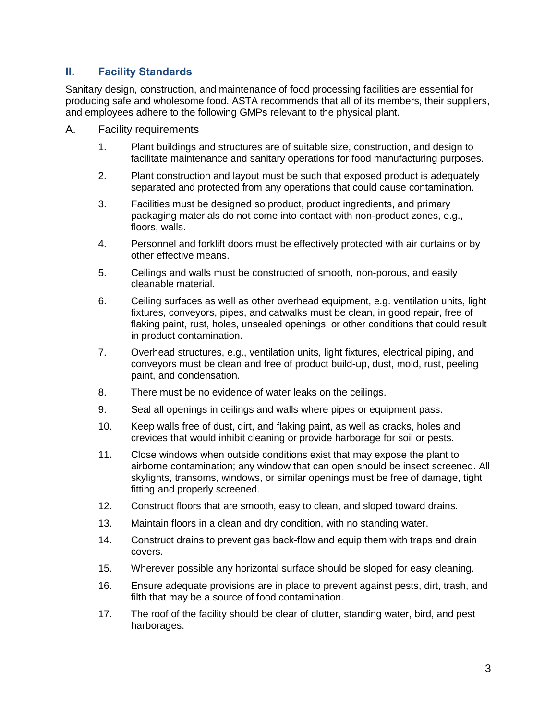# **II. Facility Standards**

Sanitary design, construction, and maintenance of food processing facilities are essential for producing safe and wholesome food. ASTA recommends that all of its members, their suppliers, and employees adhere to the following GMPs relevant to the physical plant.

- A. Facility requirements
	- 1. Plant buildings and structures are of suitable size, construction, and design to facilitate maintenance and sanitary operations for food manufacturing purposes.
	- 2. Plant construction and layout must be such that exposed product is adequately separated and protected from any operations that could cause contamination.
	- 3. Facilities must be designed so product, product ingredients, and primary packaging materials do not come into contact with non-product zones, e.g., floors, walls.
	- 4. Personnel and forklift doors must be effectively protected with air curtains or by other effective means.
	- 5. Ceilings and walls must be constructed of smooth, non-porous, and easily cleanable material.
	- 6. Ceiling surfaces as well as other overhead equipment, e.g. ventilation units, light fixtures, conveyors, pipes, and catwalks must be clean, in good repair, free of flaking paint, rust, holes, unsealed openings, or other conditions that could result in product contamination.
	- 7. Overhead structures, e.g., ventilation units, light fixtures, electrical piping, and conveyors must be clean and free of product build-up, dust, mold, rust, peeling paint, and condensation.
	- 8. There must be no evidence of water leaks on the ceilings.
	- 9. Seal all openings in ceilings and walls where pipes or equipment pass.
	- 10. Keep walls free of dust, dirt, and flaking paint, as well as cracks, holes and crevices that would inhibit cleaning or provide harborage for soil or pests.
	- 11. Close windows when outside conditions exist that may expose the plant to airborne contamination; any window that can open should be insect screened. All skylights, transoms, windows, or similar openings must be free of damage, tight fitting and properly screened.
	- 12. Construct floors that are smooth, easy to clean, and sloped toward drains.
	- 13. Maintain floors in a clean and dry condition, with no standing water.
	- 14. Construct drains to prevent gas back-flow and equip them with traps and drain covers.
	- 15. Wherever possible any horizontal surface should be sloped for easy cleaning.
	- 16. Ensure adequate provisions are in place to prevent against pests, dirt, trash, and filth that may be a source of food contamination.
	- 17. The roof of the facility should be clear of clutter, standing water, bird, and pest harborages.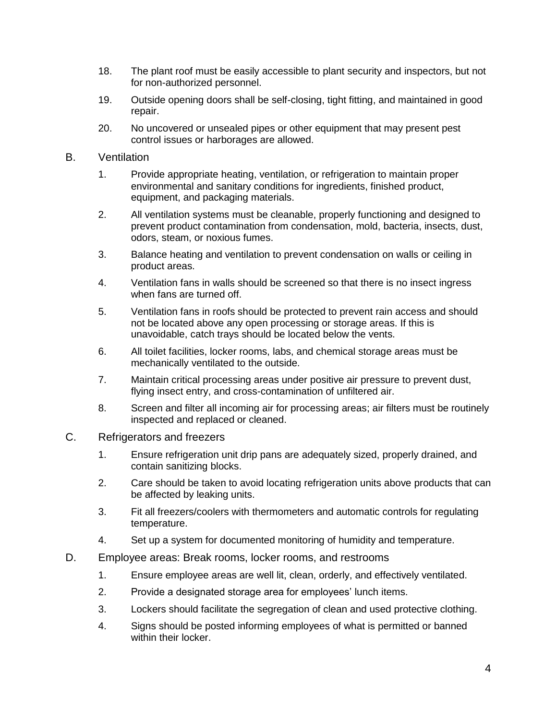- 18. The plant roof must be easily accessible to plant security and inspectors, but not for non-authorized personnel.
- 19. Outside opening doors shall be self-closing, tight fitting, and maintained in good repair.
- 20. No uncovered or unsealed pipes or other equipment that may present pest control issues or harborages are allowed.

#### B. Ventilation

- 1. Provide appropriate heating, ventilation, or refrigeration to maintain proper environmental and sanitary conditions for ingredients, finished product, equipment, and packaging materials.
- 2. All ventilation systems must be cleanable, properly functioning and designed to prevent product contamination from condensation, mold, bacteria, insects, dust, odors, steam, or noxious fumes.
- 3. Balance heating and ventilation to prevent condensation on walls or ceiling in product areas.
- 4. Ventilation fans in walls should be screened so that there is no insect ingress when fans are turned off.
- 5. Ventilation fans in roofs should be protected to prevent rain access and should not be located above any open processing or storage areas. If this is unavoidable, catch trays should be located below the vents.
- 6. All toilet facilities, locker rooms, labs, and chemical storage areas must be mechanically ventilated to the outside.
- 7. Maintain critical processing areas under positive air pressure to prevent dust, flying insect entry, and cross-contamination of unfiltered air.
- 8. Screen and filter all incoming air for processing areas; air filters must be routinely inspected and replaced or cleaned.
- C. Refrigerators and freezers
	- 1. Ensure refrigeration unit drip pans are adequately sized, properly drained, and contain sanitizing blocks.
	- 2. Care should be taken to avoid locating refrigeration units above products that can be affected by leaking units.
	- 3. Fit all freezers/coolers with thermometers and automatic controls for regulating temperature.
	- 4. Set up a system for documented monitoring of humidity and temperature.
- D. Employee areas: Break rooms, locker rooms, and restrooms
	- 1. Ensure employee areas are well lit, clean, orderly, and effectively ventilated.
	- 2. Provide a designated storage area for employees' lunch items.
	- 3. Lockers should facilitate the segregation of clean and used protective clothing.
	- 4. Signs should be posted informing employees of what is permitted or banned within their locker.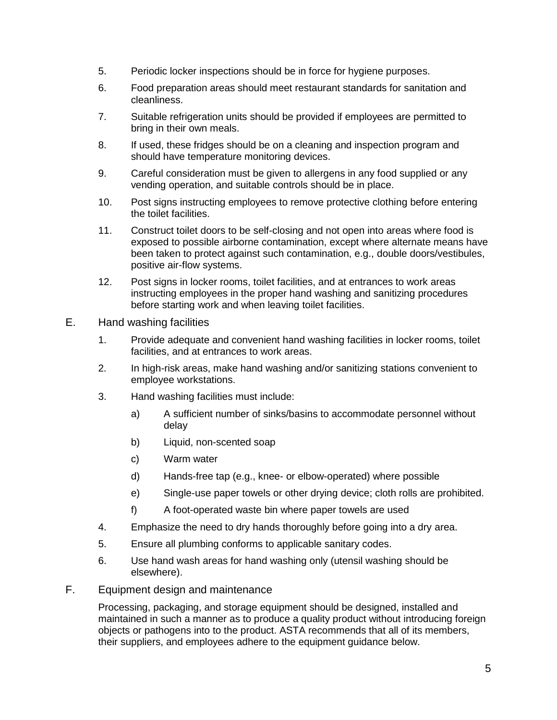- 5. Periodic locker inspections should be in force for hygiene purposes.
- 6. Food preparation areas should meet restaurant standards for sanitation and cleanliness.
- 7. Suitable refrigeration units should be provided if employees are permitted to bring in their own meals.
- 8. If used, these fridges should be on a cleaning and inspection program and should have temperature monitoring devices.
- 9. Careful consideration must be given to allergens in any food supplied or any vending operation, and suitable controls should be in place.
- 10. Post signs instructing employees to remove protective clothing before entering the toilet facilities.
- 11. Construct toilet doors to be self-closing and not open into areas where food is exposed to possible airborne contamination, except where alternate means have been taken to protect against such contamination, e.g., double doors/vestibules, positive air-flow systems.
- 12. Post signs in locker rooms, toilet facilities, and at entrances to work areas instructing employees in the proper hand washing and sanitizing procedures before starting work and when leaving toilet facilities.
- E. Hand washing facilities
	- 1. Provide adequate and convenient hand washing facilities in locker rooms, toilet facilities, and at entrances to work areas.
	- 2. In high-risk areas, make hand washing and/or sanitizing stations convenient to employee workstations.
	- 3. Hand washing facilities must include:
		- a) A sufficient number of sinks/basins to accommodate personnel without delay
		- b) Liquid, non-scented soap
		- c) Warm water
		- d) Hands-free tap (e.g., knee- or elbow-operated) where possible
		- e) Single-use paper towels or other drying device; cloth rolls are prohibited.
		- f) A foot-operated waste bin where paper towels are used
	- 4. Emphasize the need to dry hands thoroughly before going into a dry area.
	- 5. Ensure all plumbing conforms to applicable sanitary codes.
	- 6. Use hand wash areas for hand washing only (utensil washing should be elsewhere).
- F. Equipment design and maintenance

Processing, packaging, and storage equipment should be designed, installed and maintained in such a manner as to produce a quality product without introducing foreign objects or pathogens into to the product. ASTA recommends that all of its members, their suppliers, and employees adhere to the equipment guidance below.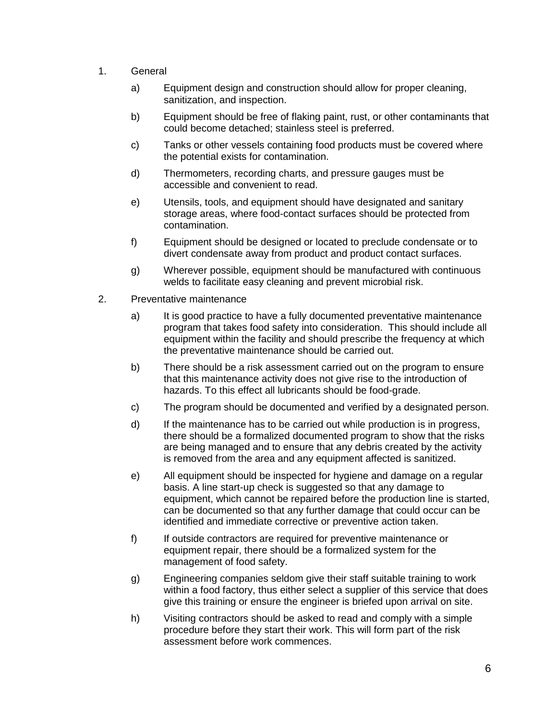- 1. General
	- a) Equipment design and construction should allow for proper cleaning, sanitization, and inspection.
	- b) Equipment should be free of flaking paint, rust, or other contaminants that could become detached; stainless steel is preferred.
	- c) Tanks or other vessels containing food products must be covered where the potential exists for contamination.
	- d) Thermometers, recording charts, and pressure gauges must be accessible and convenient to read.
	- e) Utensils, tools, and equipment should have designated and sanitary storage areas, where food-contact surfaces should be protected from contamination.
	- f) Equipment should be designed or located to preclude condensate or to divert condensate away from product and product contact surfaces.
	- g) Wherever possible, equipment should be manufactured with continuous welds to facilitate easy cleaning and prevent microbial risk.
- 2. Preventative maintenance
	- a) It is good practice to have a fully documented preventative maintenance program that takes food safety into consideration. This should include all equipment within the facility and should prescribe the frequency at which the preventative maintenance should be carried out.
	- b) There should be a risk assessment carried out on the program to ensure that this maintenance activity does not give rise to the introduction of hazards. To this effect all lubricants should be food-grade.
	- c) The program should be documented and verified by a designated person.
	- d) If the maintenance has to be carried out while production is in progress, there should be a formalized documented program to show that the risks are being managed and to ensure that any debris created by the activity is removed from the area and any equipment affected is sanitized.
	- e) All equipment should be inspected for hygiene and damage on a regular basis. A line start-up check is suggested so that any damage to equipment, which cannot be repaired before the production line is started, can be documented so that any further damage that could occur can be identified and immediate corrective or preventive action taken.
	- f) If outside contractors are required for preventive maintenance or equipment repair, there should be a formalized system for the management of food safety.
	- g) Engineering companies seldom give their staff suitable training to work within a food factory, thus either select a supplier of this service that does give this training or ensure the engineer is briefed upon arrival on site.
	- h) Visiting contractors should be asked to read and comply with a simple procedure before they start their work. This will form part of the risk assessment before work commences.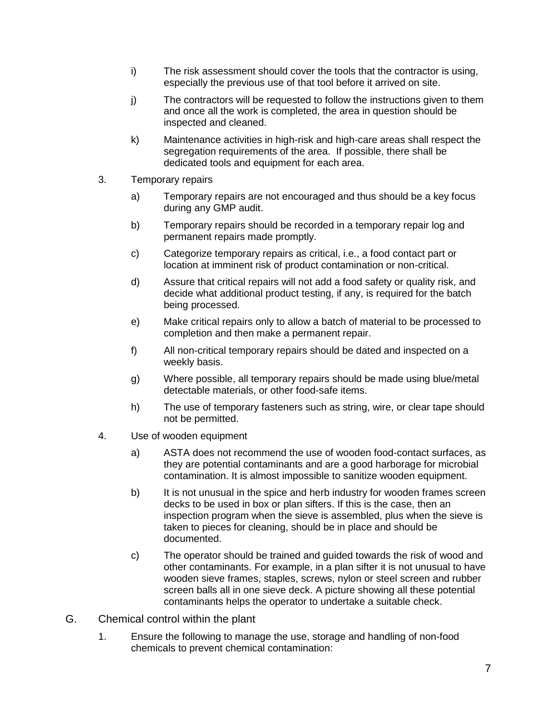- i) The risk assessment should cover the tools that the contractor is using, especially the previous use of that tool before it arrived on site.
- j) The contractors will be requested to follow the instructions given to them and once all the work is completed, the area in question should be inspected and cleaned.
- k) Maintenance activities in high-risk and high-care areas shall respect the segregation requirements of the area. If possible, there shall be dedicated tools and equipment for each area.
- 3. Temporary repairs
	- a) Temporary repairs are not encouraged and thus should be a key focus during any GMP audit.
	- b) Temporary repairs should be recorded in a temporary repair log and permanent repairs made promptly.
	- c) Categorize temporary repairs as critical, i.e., a food contact part or location at imminent risk of product contamination or non-critical.
	- d) Assure that critical repairs will not add a food safety or quality risk, and decide what additional product testing, if any, is required for the batch being processed.
	- e) Make critical repairs only to allow a batch of material to be processed to completion and then make a permanent repair.
	- f) All non-critical temporary repairs should be dated and inspected on a weekly basis.
	- g) Where possible, all temporary repairs should be made using blue/metal detectable materials, or other food-safe items.
	- h) The use of temporary fasteners such as string, wire, or clear tape should not be permitted.
- 4. Use of wooden equipment
	- a) ASTA does not recommend the use of wooden food-contact surfaces, as they are potential contaminants and are a good harborage for microbial contamination. It is almost impossible to sanitize wooden equipment.
	- b) It is not unusual in the spice and herb industry for wooden frames screen decks to be used in box or plan sifters. If this is the case, then an inspection program when the sieve is assembled, plus when the sieve is taken to pieces for cleaning, should be in place and should be documented.
	- c) The operator should be trained and guided towards the risk of wood and other contaminants. For example, in a plan sifter it is not unusual to have wooden sieve frames, staples, screws, nylon or steel screen and rubber screen balls all in one sieve deck. A picture showing all these potential contaminants helps the operator to undertake a suitable check.
- G. Chemical control within the plant
	- 1. Ensure the following to manage the use, storage and handling of non-food chemicals to prevent chemical contamination: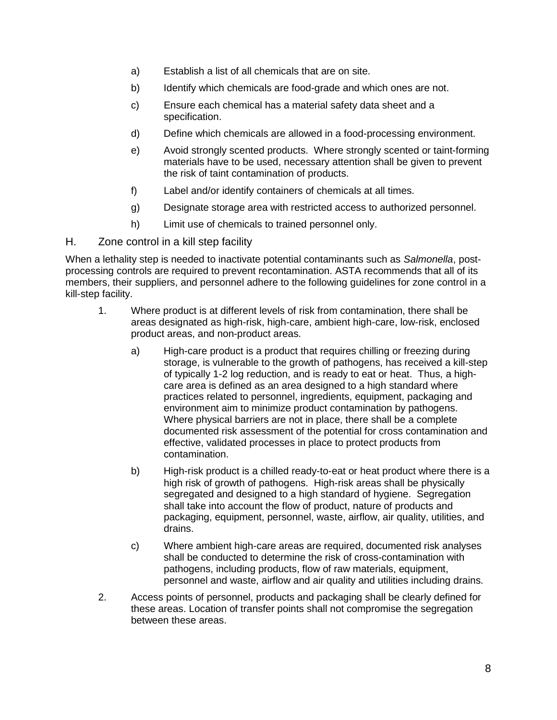- a) Establish a list of all chemicals that are on site.
- b) Identify which chemicals are food-grade and which ones are not.
- c) Ensure each chemical has a material safety data sheet and a specification.
- d) Define which chemicals are allowed in a food-processing environment.
- e) Avoid strongly scented products. Where strongly scented or taint-forming materials have to be used, necessary attention shall be given to prevent the risk of taint contamination of products.
- f) Label and/or identify containers of chemicals at all times.
- g) Designate storage area with restricted access to authorized personnel.
- h) Limit use of chemicals to trained personnel only.

#### H. Zone control in a kill step facility

When a lethality step is needed to inactivate potential contaminants such as *Salmonella*, postprocessing controls are required to prevent recontamination. ASTA recommends that all of its members, their suppliers, and personnel adhere to the following guidelines for zone control in a kill-step facility.

- 1. Where product is at different levels of risk from contamination, there shall be areas designated as high-risk, high-care, ambient high-care, low-risk, enclosed product areas, and non-product areas.
	- a) High-care product is a product that requires chilling or freezing during storage, is vulnerable to the growth of pathogens, has received a kill-step of typically 1-2 log reduction, and is ready to eat or heat. Thus, a highcare area is defined as an area designed to a high standard where practices related to personnel, ingredients, equipment, packaging and environment aim to minimize product contamination by pathogens. Where physical barriers are not in place, there shall be a complete documented risk assessment of the potential for cross contamination and effective, validated processes in place to protect products from contamination.
	- b) High-risk product is a chilled ready-to-eat or heat product where there is a high risk of growth of pathogens. High-risk areas shall be physically segregated and designed to a high standard of hygiene. Segregation shall take into account the flow of product, nature of products and packaging, equipment, personnel, waste, airflow, air quality, utilities, and drains.
	- c) Where ambient high-care areas are required, documented risk analyses shall be conducted to determine the risk of cross-contamination with pathogens, including products, flow of raw materials, equipment, personnel and waste, airflow and air quality and utilities including drains.
- 2. Access points of personnel, products and packaging shall be clearly defined for these areas. Location of transfer points shall not compromise the segregation between these areas.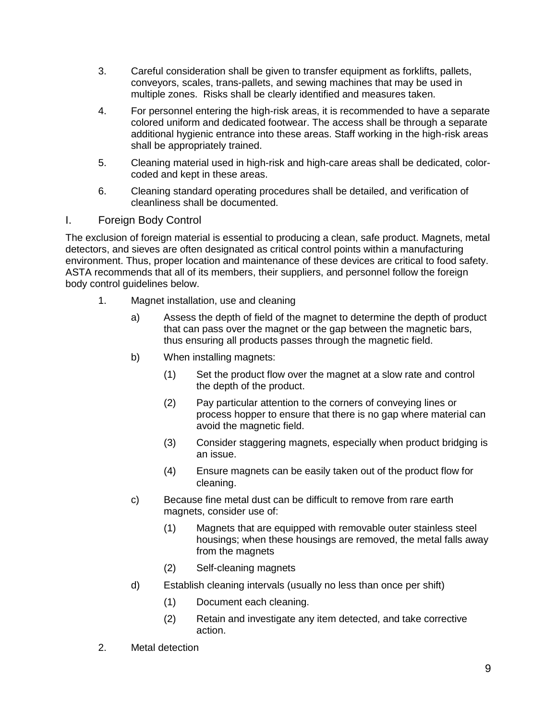- 3. Careful consideration shall be given to transfer equipment as forklifts, pallets, conveyors, scales, trans-pallets, and sewing machines that may be used in multiple zones. Risks shall be clearly identified and measures taken.
- 4. For personnel entering the high-risk areas, it is recommended to have a separate colored uniform and dedicated footwear. The access shall be through a separate additional hygienic entrance into these areas. Staff working in the high-risk areas shall be appropriately trained.
- 5. Cleaning material used in high-risk and high-care areas shall be dedicated, colorcoded and kept in these areas.
- 6. Cleaning standard operating procedures shall be detailed, and verification of cleanliness shall be documented.

#### I. Foreign Body Control

The exclusion of foreign material is essential to producing a clean, safe product. Magnets, metal detectors, and sieves are often designated as critical control points within a manufacturing environment. Thus, proper location and maintenance of these devices are critical to food safety. ASTA recommends that all of its members, their suppliers, and personnel follow the foreign body control guidelines below.

- 1. Magnet installation, use and cleaning
	- a) Assess the depth of field of the magnet to determine the depth of product that can pass over the magnet or the gap between the magnetic bars, thus ensuring all products passes through the magnetic field.
	- b) When installing magnets:
		- (1) Set the product flow over the magnet at a slow rate and control the depth of the product.
		- (2) Pay particular attention to the corners of conveying lines or process hopper to ensure that there is no gap where material can avoid the magnetic field.
		- (3) Consider staggering magnets, especially when product bridging is an issue.
		- (4) Ensure magnets can be easily taken out of the product flow for cleaning.
	- c) Because fine metal dust can be difficult to remove from rare earth magnets, consider use of:
		- (1) Magnets that are equipped with removable outer stainless steel housings; when these housings are removed, the metal falls away from the magnets
		- (2) Self-cleaning magnets
	- d) Establish cleaning intervals (usually no less than once per shift)
		- (1) Document each cleaning.
		- (2) Retain and investigate any item detected, and take corrective action.
- 2. Metal detection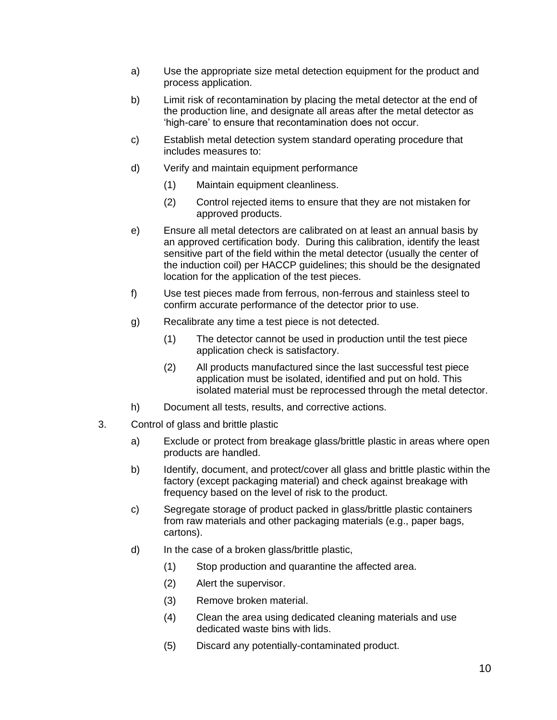- a) Use the appropriate size metal detection equipment for the product and process application.
- b) Limit risk of recontamination by placing the metal detector at the end of the production line, and designate all areas after the metal detector as 'high-care' to ensure that recontamination does not occur.
- c) Establish metal detection system standard operating procedure that includes measures to:
- d) Verify and maintain equipment performance
	- (1) Maintain equipment cleanliness.
	- (2) Control rejected items to ensure that they are not mistaken for approved products.
- e) Ensure all metal detectors are calibrated on at least an annual basis by an approved certification body. During this calibration, identify the least sensitive part of the field within the metal detector (usually the center of the induction coil) per HACCP guidelines; this should be the designated location for the application of the test pieces.
- f) Use test pieces made from ferrous, non-ferrous and stainless steel to confirm accurate performance of the detector prior to use.
- g) Recalibrate any time a test piece is not detected.
	- (1) The detector cannot be used in production until the test piece application check is satisfactory.
	- (2) All products manufactured since the last successful test piece application must be isolated, identified and put on hold. This isolated material must be reprocessed through the metal detector.
- h) Document all tests, results, and corrective actions.
- 3. Control of glass and brittle plastic
	- a) Exclude or protect from breakage glass/brittle plastic in areas where open products are handled.
	- b) Identify, document, and protect/cover all glass and brittle plastic within the factory (except packaging material) and check against breakage with frequency based on the level of risk to the product.
	- c) Segregate storage of product packed in glass/brittle plastic containers from raw materials and other packaging materials (e.g., paper bags, cartons).
	- d) In the case of a broken glass/brittle plastic,
		- (1) Stop production and quarantine the affected area.
		- (2) Alert the supervisor.
		- (3) Remove broken material.
		- (4) Clean the area using dedicated cleaning materials and use dedicated waste bins with lids.
		- (5) Discard any potentially-contaminated product.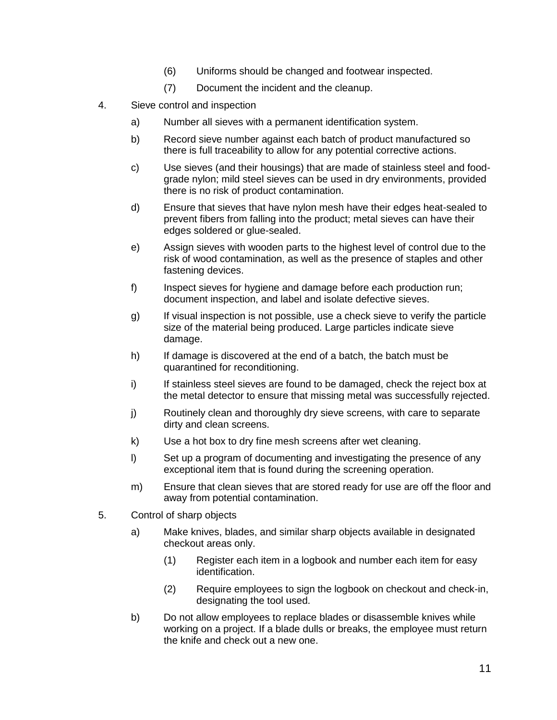- (6) Uniforms should be changed and footwear inspected.
- (7) Document the incident and the cleanup.
- 4. Sieve control and inspection
	- a) Number all sieves with a permanent identification system.
	- b) Record sieve number against each batch of product manufactured so there is full traceability to allow for any potential corrective actions.
	- c) Use sieves (and their housings) that are made of stainless steel and foodgrade nylon; mild steel sieves can be used in dry environments, provided there is no risk of product contamination.
	- d) Ensure that sieves that have nylon mesh have their edges heat-sealed to prevent fibers from falling into the product; metal sieves can have their edges soldered or glue-sealed.
	- e) Assign sieves with wooden parts to the highest level of control due to the risk of wood contamination, as well as the presence of staples and other fastening devices.
	- f) Inspect sieves for hygiene and damage before each production run; document inspection, and label and isolate defective sieves.
	- g) If visual inspection is not possible, use a check sieve to verify the particle size of the material being produced. Large particles indicate sieve damage.
	- h) If damage is discovered at the end of a batch, the batch must be quarantined for reconditioning.
	- i) If stainless steel sieves are found to be damaged, check the reject box at the metal detector to ensure that missing metal was successfully rejected.
	- j) Routinely clean and thoroughly dry sieve screens, with care to separate dirty and clean screens.
	- k) Use a hot box to dry fine mesh screens after wet cleaning.
	- l) Set up a program of documenting and investigating the presence of any exceptional item that is found during the screening operation.
	- m) Ensure that clean sieves that are stored ready for use are off the floor and away from potential contamination.
- 5. Control of sharp objects
	- a) Make knives, blades, and similar sharp objects available in designated checkout areas only.
		- (1) Register each item in a logbook and number each item for easy identification.
		- (2) Require employees to sign the logbook on checkout and check-in, designating the tool used.
	- b) Do not allow employees to replace blades or disassemble knives while working on a project. If a blade dulls or breaks, the employee must return the knife and check out a new one.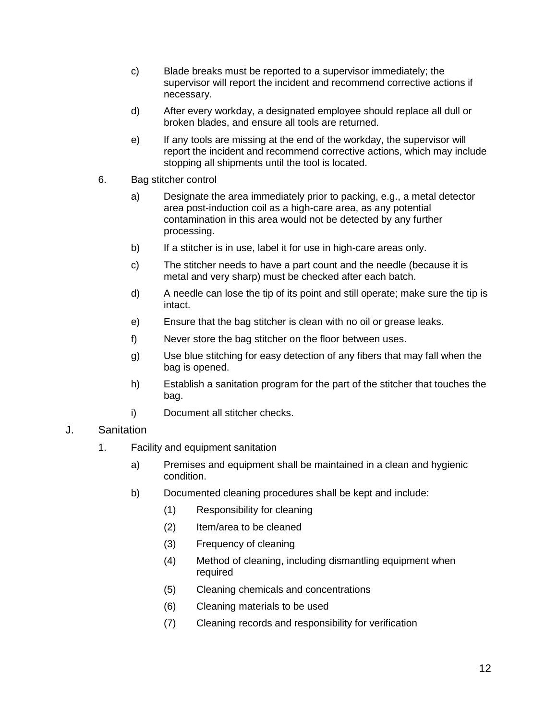- c) Blade breaks must be reported to a supervisor immediately; the supervisor will report the incident and recommend corrective actions if necessary.
- d) After every workday, a designated employee should replace all dull or broken blades, and ensure all tools are returned.
- e) If any tools are missing at the end of the workday, the supervisor will report the incident and recommend corrective actions, which may include stopping all shipments until the tool is located.
- 6. Bag stitcher control
	- a) Designate the area immediately prior to packing, e.g., a metal detector area post-induction coil as a high-care area, as any potential contamination in this area would not be detected by any further processing.
	- b) If a stitcher is in use, label it for use in high-care areas only.
	- c) The stitcher needs to have a part count and the needle (because it is metal and very sharp) must be checked after each batch.
	- d) A needle can lose the tip of its point and still operate; make sure the tip is intact.
	- e) Ensure that the bag stitcher is clean with no oil or grease leaks.
	- f) Never store the bag stitcher on the floor between uses.
	- g) Use blue stitching for easy detection of any fibers that may fall when the bag is opened.
	- h) Establish a sanitation program for the part of the stitcher that touches the bag.
	- i) Document all stitcher checks.

#### J. Sanitation

- 1. Facility and equipment sanitation
	- a) Premises and equipment shall be maintained in a clean and hygienic condition.
	- b) Documented cleaning procedures shall be kept and include:
		- (1) Responsibility for cleaning
		- (2) Item/area to be cleaned
		- (3) Frequency of cleaning
		- (4) Method of cleaning, including dismantling equipment when required
		- (5) Cleaning chemicals and concentrations
		- (6) Cleaning materials to be used
		- (7) Cleaning records and responsibility for verification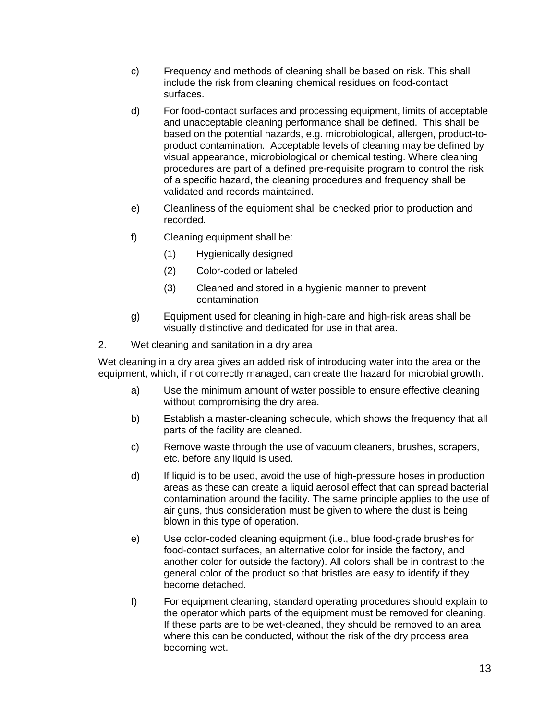- c) Frequency and methods of cleaning shall be based on risk. This shall include the risk from cleaning chemical residues on food-contact surfaces.
- d) For food-contact surfaces and processing equipment, limits of acceptable and unacceptable cleaning performance shall be defined. This shall be based on the potential hazards, e.g. microbiological, allergen, product-toproduct contamination. Acceptable levels of cleaning may be defined by visual appearance, microbiological or chemical testing. Where cleaning procedures are part of a defined pre-requisite program to control the risk of a specific hazard, the cleaning procedures and frequency shall be validated and records maintained.
- e) Cleanliness of the equipment shall be checked prior to production and recorded.
- f) Cleaning equipment shall be:
	- (1) Hygienically designed
	- (2) Color-coded or labeled
	- (3) Cleaned and stored in a hygienic manner to prevent contamination
- g) Equipment used for cleaning in high-care and high-risk areas shall be visually distinctive and dedicated for use in that area.
- 2. Wet cleaning and sanitation in a dry area

Wet cleaning in a dry area gives an added risk of introducing water into the area or the equipment, which, if not correctly managed, can create the hazard for microbial growth.

- a) Use the minimum amount of water possible to ensure effective cleaning without compromising the dry area.
- b) Establish a master-cleaning schedule, which shows the frequency that all parts of the facility are cleaned.
- c) Remove waste through the use of vacuum cleaners, brushes, scrapers, etc. before any liquid is used.
- d) If liquid is to be used, avoid the use of high-pressure hoses in production areas as these can create a liquid aerosol effect that can spread bacterial contamination around the facility. The same principle applies to the use of air guns, thus consideration must be given to where the dust is being blown in this type of operation.
- e) Use color-coded cleaning equipment (i.e., blue food-grade brushes for food-contact surfaces, an alternative color for inside the factory, and another color for outside the factory). All colors shall be in contrast to the general color of the product so that bristles are easy to identify if they become detached.
- f) For equipment cleaning, standard operating procedures should explain to the operator which parts of the equipment must be removed for cleaning. If these parts are to be wet-cleaned, they should be removed to an area where this can be conducted, without the risk of the dry process area becoming wet.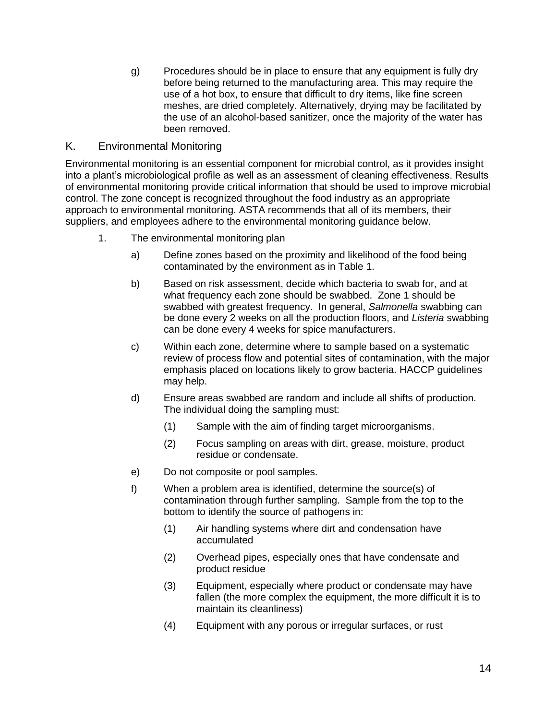g) Procedures should be in place to ensure that any equipment is fully dry before being returned to the manufacturing area. This may require the use of a hot box, to ensure that difficult to dry items, like fine screen meshes, are dried completely. Alternatively, drying may be facilitated by the use of an alcohol-based sanitizer, once the majority of the water has been removed.

# K. Environmental Monitoring

Environmental monitoring is an essential component for microbial control, as it provides insight into a plant's microbiological profile as well as an assessment of cleaning effectiveness. Results of environmental monitoring provide critical information that should be used to improve microbial control. The zone concept is recognized throughout the food industry as an appropriate approach to environmental monitoring. ASTA recommends that all of its members, their suppliers, and employees adhere to the environmental monitoring guidance below.

- 1. The environmental monitoring plan
	- a) Define zones based on the proximity and likelihood of the food being contaminated by the environment as in Table 1.
	- b) Based on risk assessment, decide which bacteria to swab for, and at what frequency each zone should be swabbed. Zone 1 should be swabbed with greatest frequency. In general, *Salmonella* swabbing can be done every 2 weeks on all the production floors, and *Listeria* swabbing can be done every 4 weeks for spice manufacturers.
	- c) Within each zone, determine where to sample based on a systematic review of process flow and potential sites of contamination, with the major emphasis placed on locations likely to grow bacteria. HACCP guidelines may help.
	- d) Ensure areas swabbed are random and include all shifts of production. The individual doing the sampling must:
		- (1) Sample with the aim of finding target microorganisms.
		- (2) Focus sampling on areas with dirt, grease, moisture, product residue or condensate.
	- e) Do not composite or pool samples.
	- f) When a problem area is identified, determine the source(s) of contamination through further sampling. Sample from the top to the bottom to identify the source of pathogens in:
		- (1) Air handling systems where dirt and condensation have accumulated
		- (2) Overhead pipes, especially ones that have condensate and product residue
		- (3) Equipment, especially where product or condensate may have fallen (the more complex the equipment, the more difficult it is to maintain its cleanliness)
		- (4) Equipment with any porous or irregular surfaces, or rust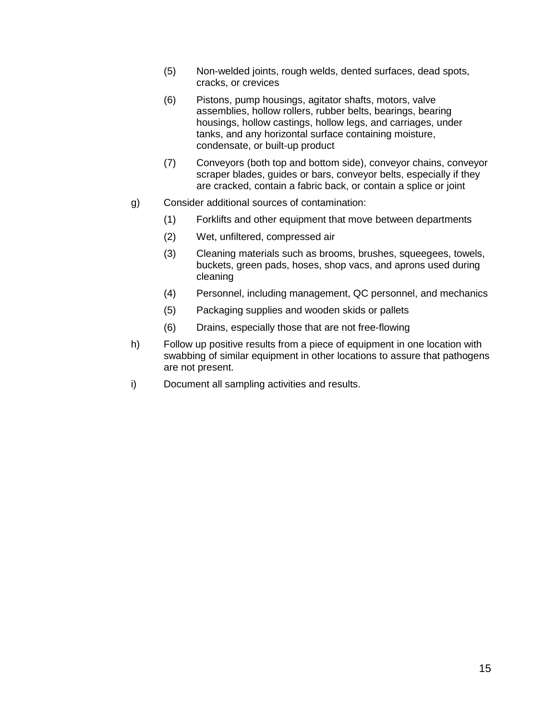- (5) Non-welded joints, rough welds, dented surfaces, dead spots, cracks, or crevices
- (6) Pistons, pump housings, agitator shafts, motors, valve assemblies, hollow rollers, rubber belts, bearings, bearing housings, hollow castings, hollow legs, and carriages, under tanks, and any horizontal surface containing moisture, condensate, or built-up product
- (7) Conveyors (both top and bottom side), conveyor chains, conveyor scraper blades, guides or bars, conveyor belts, especially if they are cracked, contain a fabric back, or contain a splice or joint
- g) Consider additional sources of contamination:
	- (1) Forklifts and other equipment that move between departments
	- (2) Wet, unfiltered, compressed air
	- (3) Cleaning materials such as brooms, brushes, squeegees, towels, buckets, green pads, hoses, shop vacs, and aprons used during cleaning
	- (4) Personnel, including management, QC personnel, and mechanics
	- (5) Packaging supplies and wooden skids or pallets
	- (6) Drains, especially those that are not free-flowing
- h) Follow up positive results from a piece of equipment in one location with swabbing of similar equipment in other locations to assure that pathogens are not present.
- i) Document all sampling activities and results.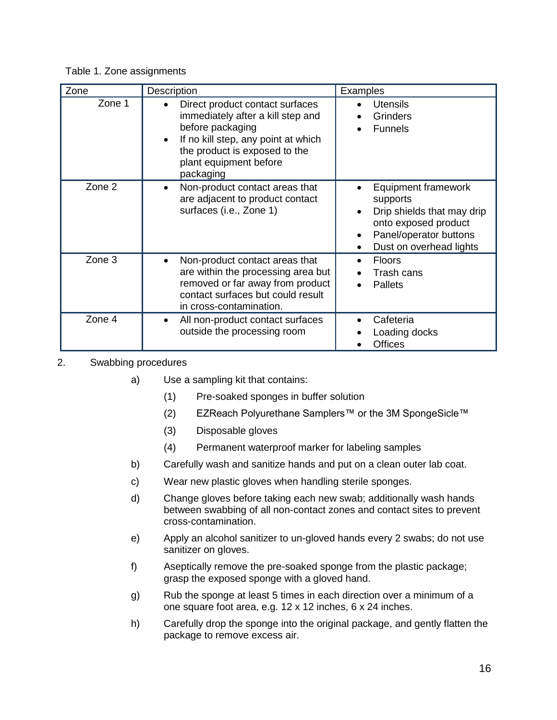| Table 1. Zone assignments |  |
|---------------------------|--|
|---------------------------|--|

| Zone   | Description                                                                                                                                                                                                          | Examples                                                                                                                                                       |
|--------|----------------------------------------------------------------------------------------------------------------------------------------------------------------------------------------------------------------------|----------------------------------------------------------------------------------------------------------------------------------------------------------------|
| Zone 1 | Direct product contact surfaces<br>$\bullet$<br>immediately after a kill step and<br>before packaging<br>If no kill step, any point at which<br>the product is exposed to the<br>plant equipment before<br>packaging | <b>Utensils</b><br>Grinders<br><b>Funnels</b>                                                                                                                  |
| Zone 2 | Non-product contact areas that<br>$\bullet$<br>are adjacent to product contact<br>surfaces (i.e., Zone 1)                                                                                                            | <b>Equipment framework</b><br>supports<br>Drip shields that may drip<br>onto exposed product<br>Panel/operator buttons<br>Dust on overhead lights<br>$\bullet$ |
| Zone 3 | Non-product contact areas that<br>$\bullet$<br>are within the processing area but<br>removed or far away from product<br>contact surfaces but could result<br>in cross-contamination.                                | <b>Floors</b><br>Trash cans<br><b>Pallets</b>                                                                                                                  |
| Zone 4 | All non-product contact surfaces<br>$\bullet$<br>outside the processing room                                                                                                                                         | Cafeteria<br>Loading docks<br><b>Offices</b>                                                                                                                   |

## 2. Swabbing procedures

- a) Use a sampling kit that contains:
	- (1) Pre-soaked sponges in buffer solution
	- (2) EZReach Polyurethane Samplers™ or the 3M SpongeSicle™
	- (3) Disposable gloves
	- (4) Permanent waterproof marker for labeling samples
- b) Carefully wash and sanitize hands and put on a clean outer lab coat.
- c) Wear new plastic gloves when handling sterile sponges.
- d) Change gloves before taking each new swab; additionally wash hands between swabbing of all non-contact zones and contact sites to prevent cross-contamination.
- e) Apply an alcohol sanitizer to un-gloved hands every 2 swabs; do not use sanitizer on gloves.
- f) Aseptically remove the pre-soaked sponge from the plastic package; grasp the exposed sponge with a gloved hand.
- g) Rub the sponge at least 5 times in each direction over a minimum of a one square foot area, e.g. 12 x 12 inches, 6 x 24 inches.
- h) Carefully drop the sponge into the original package, and gently flatten the package to remove excess air.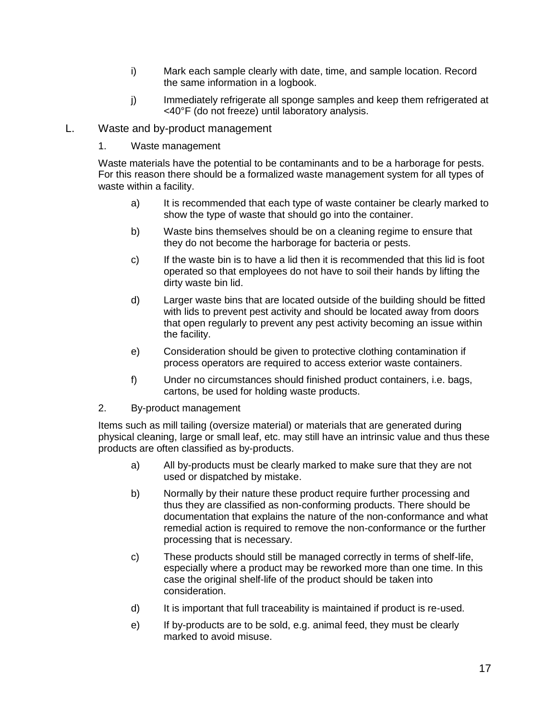- i) Mark each sample clearly with date, time, and sample location. Record the same information in a logbook.
- j) Immediately refrigerate all sponge samples and keep them refrigerated at <40°F (do not freeze) until laboratory analysis.

#### L. Waste and by-product management

1. Waste management

Waste materials have the potential to be contaminants and to be a harborage for pests. For this reason there should be a formalized waste management system for all types of waste within a facility.

- a) It is recommended that each type of waste container be clearly marked to show the type of waste that should go into the container.
- b) Waste bins themselves should be on a cleaning regime to ensure that they do not become the harborage for bacteria or pests.
- c) If the waste bin is to have a lid then it is recommended that this lid is foot operated so that employees do not have to soil their hands by lifting the dirty waste bin lid.
- d) Larger waste bins that are located outside of the building should be fitted with lids to prevent pest activity and should be located away from doors that open regularly to prevent any pest activity becoming an issue within the facility.
- e) Consideration should be given to protective clothing contamination if process operators are required to access exterior waste containers.
- f) Under no circumstances should finished product containers, i.e. bags, cartons, be used for holding waste products.
- 2. By-product management

Items such as mill tailing (oversize material) or materials that are generated during physical cleaning, large or small leaf, etc. may still have an intrinsic value and thus these products are often classified as by-products.

- a) All by-products must be clearly marked to make sure that they are not used or dispatched by mistake.
- b) Normally by their nature these product require further processing and thus they are classified as non-conforming products. There should be documentation that explains the nature of the non-conformance and what remedial action is required to remove the non-conformance or the further processing that is necessary.
- c) These products should still be managed correctly in terms of shelf-life, especially where a product may be reworked more than one time. In this case the original shelf-life of the product should be taken into consideration.
- d) It is important that full traceability is maintained if product is re-used.
- e) If by-products are to be sold, e.g. animal feed, they must be clearly marked to avoid misuse.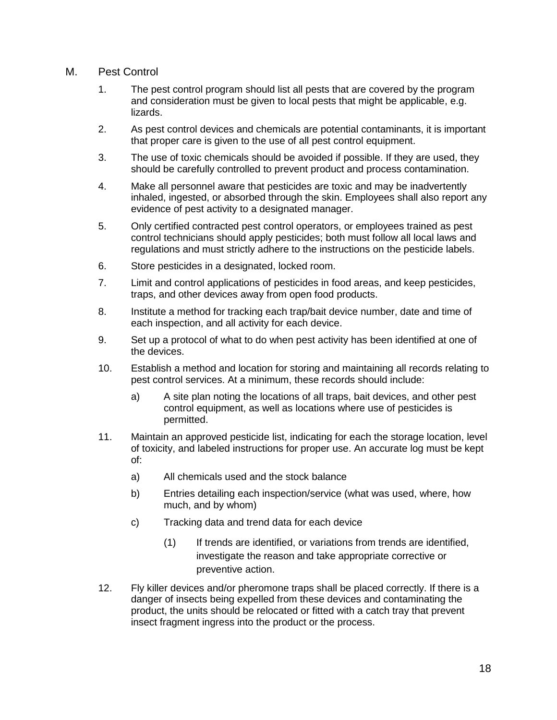#### M. Pest Control

- 1. The pest control program should list all pests that are covered by the program and consideration must be given to local pests that might be applicable, e.g. lizards.
- 2. As pest control devices and chemicals are potential contaminants, it is important that proper care is given to the use of all pest control equipment.
- 3. The use of toxic chemicals should be avoided if possible. If they are used, they should be carefully controlled to prevent product and process contamination.
- 4. Make all personnel aware that pesticides are toxic and may be inadvertently inhaled, ingested, or absorbed through the skin. Employees shall also report any evidence of pest activity to a designated manager.
- 5. Only certified contracted pest control operators, or employees trained as pest control technicians should apply pesticides; both must follow all local laws and regulations and must strictly adhere to the instructions on the pesticide labels.
- 6. Store pesticides in a designated, locked room.
- 7. Limit and control applications of pesticides in food areas, and keep pesticides, traps, and other devices away from open food products.
- 8. Institute a method for tracking each trap/bait device number, date and time of each inspection, and all activity for each device.
- 9. Set up a protocol of what to do when pest activity has been identified at one of the devices.
- 10. Establish a method and location for storing and maintaining all records relating to pest control services. At a minimum, these records should include:
	- a) A site plan noting the locations of all traps, bait devices, and other pest control equipment, as well as locations where use of pesticides is permitted.
- 11. Maintain an approved pesticide list, indicating for each the storage location, level of toxicity, and labeled instructions for proper use. An accurate log must be kept of:
	- a) All chemicals used and the stock balance
	- b) Entries detailing each inspection/service (what was used, where, how much, and by whom)
	- c) Tracking data and trend data for each device
		- (1) If trends are identified, or variations from trends are identified, investigate the reason and take appropriate corrective or preventive action.
- 12. Fly killer devices and/or pheromone traps shall be placed correctly. If there is a danger of insects being expelled from these devices and contaminating the product, the units should be relocated or fitted with a catch tray that prevent insect fragment ingress into the product or the process.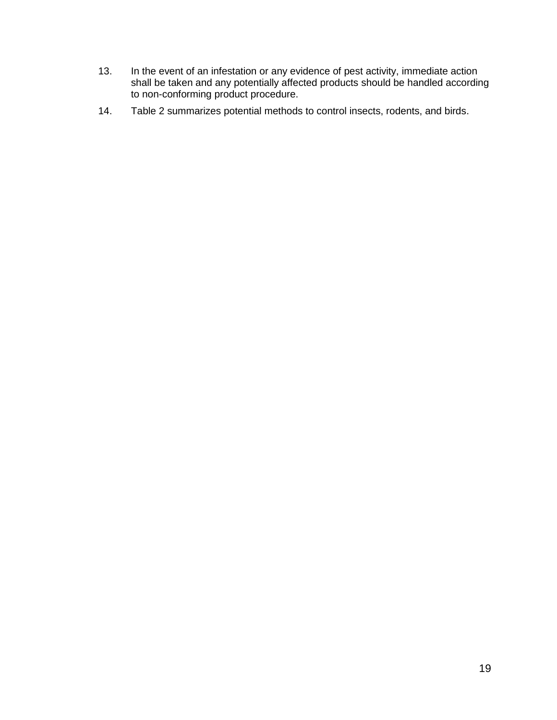- 13. In the event of an infestation or any evidence of pest activity, immediate action shall be taken and any potentially affected products should be handled according to non-conforming product procedure.
- 14. Table 2 summarizes potential methods to control insects, rodents, and birds.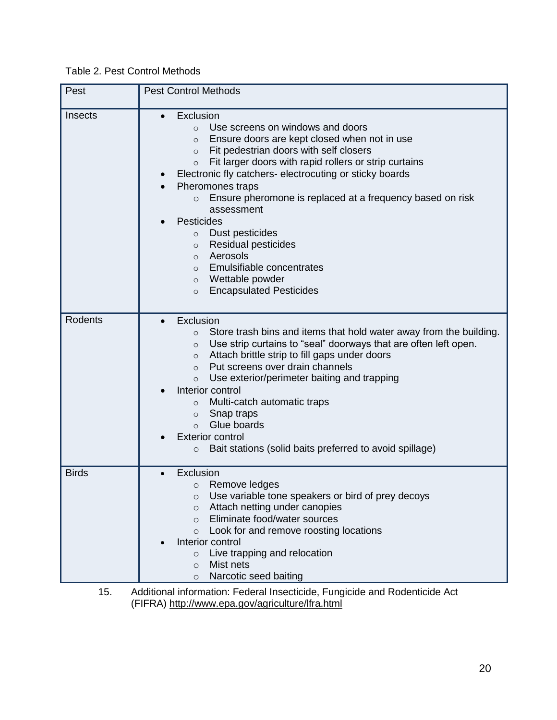Table 2. Pest Control Methods

| Pest           | <b>Pest Control Methods</b>                                                                                                                                                                                                                                                                                                                                                                                                                                                                                                                                                                                                                                           |  |
|----------------|-----------------------------------------------------------------------------------------------------------------------------------------------------------------------------------------------------------------------------------------------------------------------------------------------------------------------------------------------------------------------------------------------------------------------------------------------------------------------------------------------------------------------------------------------------------------------------------------------------------------------------------------------------------------------|--|
| Insects        | Exclusion<br>$\bullet$<br>Use screens on windows and doors<br>$\Omega$<br>Ensure doors are kept closed when not in use<br>$\circ$<br>Fit pedestrian doors with self closers<br>$\circ$<br>Fit larger doors with rapid rollers or strip curtains<br>$\circ$<br>Electronic fly catchers- electrocuting or sticky boards<br>Pheromones traps<br>Ensure pheromone is replaced at a frequency based on risk<br>$\circ$<br>assessment<br><b>Pesticides</b><br>Dust pesticides<br>$\circ$<br><b>Residual pesticides</b><br>$\circ$<br>Aerosols<br>$\circ$<br>Emulsifiable concentrates<br>$\circ$<br>Wettable powder<br>$\circ$<br><b>Encapsulated Pesticides</b><br>$\circ$ |  |
| <b>Rodents</b> | Exclusion<br>Store trash bins and items that hold water away from the building.<br>$\circ$<br>Use strip curtains to "seal" doorways that are often left open.<br>$\circ$<br>Attach brittle strip to fill gaps under doors<br>$\circ$<br>Put screens over drain channels<br>$\circ$<br>Use exterior/perimeter baiting and trapping<br>$\circ$<br>Interior control<br>Multi-catch automatic traps<br>$\circ$<br>Snap traps<br>$\circ$<br>Glue boards<br>$\Omega$<br><b>Exterior control</b><br>Bait stations (solid baits preferred to avoid spillage)<br>$\circ$                                                                                                       |  |
| <b>Birds</b>   | Exclusion<br>Remove ledges<br>$\circ$<br>Use variable tone speakers or bird of prey decoys<br>$\circ$<br>Attach netting under canopies<br>$\circ$<br>Eliminate food/water sources<br>$\Omega$<br>Look for and remove roosting locations<br>$\Omega$<br>Interior control<br>Live trapping and relocation<br>$\circ$<br>Mist nets<br>$\circ$<br>Narcotic seed baiting<br>$\circ$                                                                                                                                                                                                                                                                                        |  |
| 15.            | Additional information: Federal Insecticide, Fungicide and Rodenticide Act                                                                                                                                                                                                                                                                                                                                                                                                                                                                                                                                                                                            |  |

(FIFRA)<http://www.epa.gov/agriculture/lfra.html>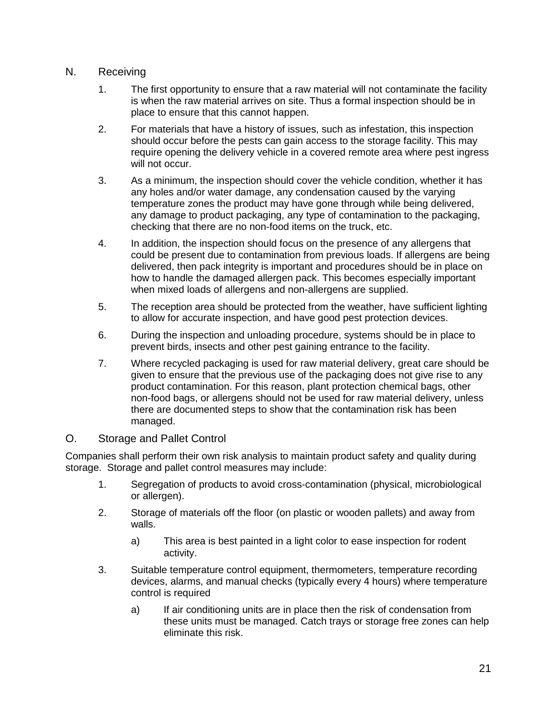## N. Receiving

- 1. The first opportunity to ensure that a raw material will not contaminate the facility is when the raw material arrives on site. Thus a formal inspection should be in place to ensure that this cannot happen.
- 2. For materials that have a history of issues, such as infestation, this inspection should occur before the pests can gain access to the storage facility. This may require opening the delivery vehicle in a covered remote area where pest ingress will not occur.
- 3. As a minimum, the inspection should cover the vehicle condition, whether it has any holes and/or water damage, any condensation caused by the varying temperature zones the product may have gone through while being delivered, any damage to product packaging, any type of contamination to the packaging, checking that there are no non-food items on the truck, etc.
- 4. In addition, the inspection should focus on the presence of any allergens that could be present due to contamination from previous loads. If allergens are being delivered, then pack integrity is important and procedures should be in place on how to handle the damaged allergen pack. This becomes especially important when mixed loads of allergens and non-allergens are supplied.
- 5. The reception area should be protected from the weather, have sufficient lighting to allow for accurate inspection, and have good pest protection devices.
- 6. During the inspection and unloading procedure, systems should be in place to prevent birds, insects and other pest gaining entrance to the facility.
- 7. Where recycled packaging is used for raw material delivery, great care should be given to ensure that the previous use of the packaging does not give rise to any product contamination. For this reason, plant protection chemical bags, other non-food bags, or allergens should not be used for raw material delivery, unless there are documented steps to show that the contamination risk has been managed.

#### O. Storage and Pallet Control

Companies shall perform their own risk analysis to maintain product safety and quality during storage. Storage and pallet control measures may include:

- 1. Segregation of products to avoid cross-contamination (physical, microbiological or allergen).
- 2. Storage of materials off the floor (on plastic or wooden pallets) and away from walls.
	- a) This area is best painted in a light color to ease inspection for rodent activity.
- 3. Suitable temperature control equipment, thermometers, temperature recording devices, alarms, and manual checks (typically every 4 hours) where temperature control is required
	- a) If air conditioning units are in place then the risk of condensation from these units must be managed. Catch trays or storage free zones can help eliminate this risk.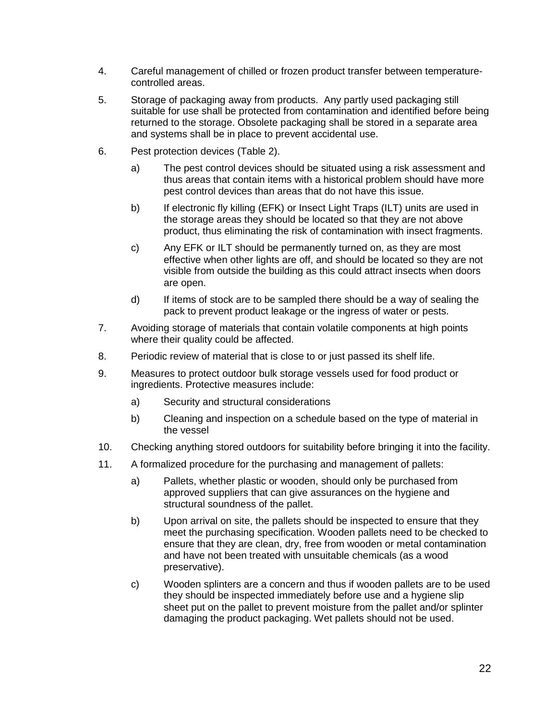- 4. Careful management of chilled or frozen product transfer between temperaturecontrolled areas.
- 5. Storage of packaging away from products. Any partly used packaging still suitable for use shall be protected from contamination and identified before being returned to the storage. Obsolete packaging shall be stored in a separate area and systems shall be in place to prevent accidental use.
- 6. Pest protection devices (Table 2).
	- a) The pest control devices should be situated using a risk assessment and thus areas that contain items with a historical problem should have more pest control devices than areas that do not have this issue.
	- b) If electronic fly killing (EFK) or Insect Light Traps (ILT) units are used in the storage areas they should be located so that they are not above product, thus eliminating the risk of contamination with insect fragments.
	- c) Any EFK or ILT should be permanently turned on, as they are most effective when other lights are off, and should be located so they are not visible from outside the building as this could attract insects when doors are open.
	- d) If items of stock are to be sampled there should be a way of sealing the pack to prevent product leakage or the ingress of water or pests.
- 7. Avoiding storage of materials that contain volatile components at high points where their quality could be affected.
- 8. Periodic review of material that is close to or just passed its shelf life.
- 9. Measures to protect outdoor bulk storage vessels used for food product or ingredients. Protective measures include:
	- a) Security and structural considerations
	- b) Cleaning and inspection on a schedule based on the type of material in the vessel
- 10. Checking anything stored outdoors for suitability before bringing it into the facility.
- 11. A formalized procedure for the purchasing and management of pallets:
	- a) Pallets, whether plastic or wooden, should only be purchased from approved suppliers that can give assurances on the hygiene and structural soundness of the pallet.
	- b) Upon arrival on site, the pallets should be inspected to ensure that they meet the purchasing specification. Wooden pallets need to be checked to ensure that they are clean, dry, free from wooden or metal contamination and have not been treated with unsuitable chemicals (as a wood preservative).
	- c) Wooden splinters are a concern and thus if wooden pallets are to be used they should be inspected immediately before use and a hygiene slip sheet put on the pallet to prevent moisture from the pallet and/or splinter damaging the product packaging. Wet pallets should not be used.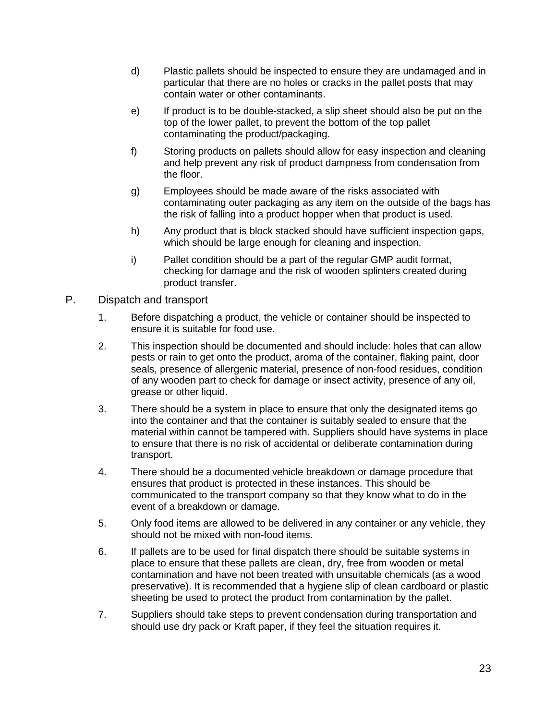- d) Plastic pallets should be inspected to ensure they are undamaged and in particular that there are no holes or cracks in the pallet posts that may contain water or other contaminants.
- e) If product is to be double-stacked, a slip sheet should also be put on the top of the lower pallet, to prevent the bottom of the top pallet contaminating the product/packaging.
- f) Storing products on pallets should allow for easy inspection and cleaning and help prevent any risk of product dampness from condensation from the floor.
- g) Employees should be made aware of the risks associated with contaminating outer packaging as any item on the outside of the bags has the risk of falling into a product hopper when that product is used.
- h) Any product that is block stacked should have sufficient inspection gaps, which should be large enough for cleaning and inspection.
- i) Pallet condition should be a part of the regular GMP audit format, checking for damage and the risk of wooden splinters created during product transfer.
- P. Dispatch and transport
	- 1. Before dispatching a product, the vehicle or container should be inspected to ensure it is suitable for food use.
	- 2. This inspection should be documented and should include: holes that can allow pests or rain to get onto the product, aroma of the container, flaking paint, door seals, presence of allergenic material, presence of non-food residues, condition of any wooden part to check for damage or insect activity, presence of any oil, grease or other liquid.
	- 3. There should be a system in place to ensure that only the designated items go into the container and that the container is suitably sealed to ensure that the material within cannot be tampered with. Suppliers should have systems in place to ensure that there is no risk of accidental or deliberate contamination during transport.
	- 4. There should be a documented vehicle breakdown or damage procedure that ensures that product is protected in these instances. This should be communicated to the transport company so that they know what to do in the event of a breakdown or damage.
	- 5. Only food items are allowed to be delivered in any container or any vehicle, they should not be mixed with non-food items.
	- 6. If pallets are to be used for final dispatch there should be suitable systems in place to ensure that these pallets are clean, dry, free from wooden or metal contamination and have not been treated with unsuitable chemicals (as a wood preservative). It is recommended that a hygiene slip of clean cardboard or plastic sheeting be used to protect the product from contamination by the pallet.
	- 7. Suppliers should take steps to prevent condensation during transportation and should use dry pack or Kraft paper, if they feel the situation requires it.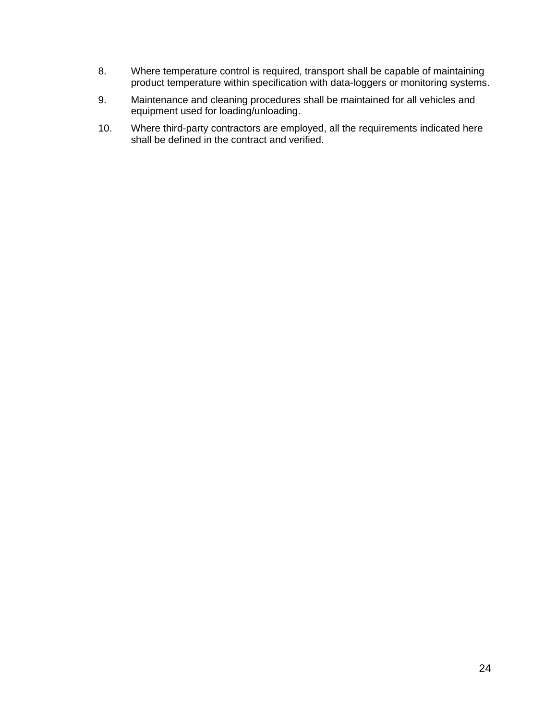- 8. Where temperature control is required, transport shall be capable of maintaining product temperature within specification with data-loggers or monitoring systems.
- 9. Maintenance and cleaning procedures shall be maintained for all vehicles and equipment used for loading/unloading.
- 10. Where third-party contractors are employed, all the requirements indicated here shall be defined in the contract and verified.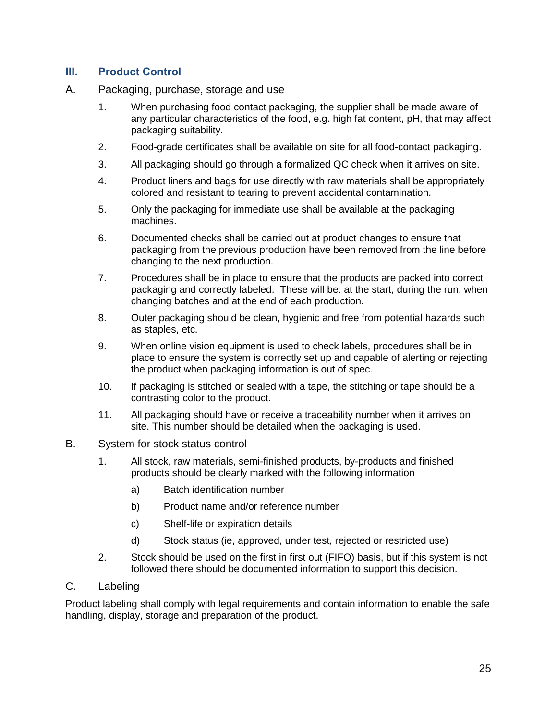# **III. Product Control**

- A. Packaging, purchase, storage and use
	- 1. When purchasing food contact packaging, the supplier shall be made aware of any particular characteristics of the food, e.g. high fat content, pH, that may affect packaging suitability.
	- 2. Food-grade certificates shall be available on site for all food-contact packaging.
	- 3. All packaging should go through a formalized QC check when it arrives on site.
	- 4. Product liners and bags for use directly with raw materials shall be appropriately colored and resistant to tearing to prevent accidental contamination.
	- 5. Only the packaging for immediate use shall be available at the packaging machines.
	- 6. Documented checks shall be carried out at product changes to ensure that packaging from the previous production have been removed from the line before changing to the next production.
	- 7. Procedures shall be in place to ensure that the products are packed into correct packaging and correctly labeled. These will be: at the start, during the run, when changing batches and at the end of each production.
	- 8. Outer packaging should be clean, hygienic and free from potential hazards such as staples, etc.
	- 9. When online vision equipment is used to check labels, procedures shall be in place to ensure the system is correctly set up and capable of alerting or rejecting the product when packaging information is out of spec.
	- 10. If packaging is stitched or sealed with a tape, the stitching or tape should be a contrasting color to the product.
	- 11. All packaging should have or receive a traceability number when it arrives on site. This number should be detailed when the packaging is used.
- B. System for stock status control
	- 1. All stock, raw materials, semi-finished products, by-products and finished products should be clearly marked with the following information
		- a) Batch identification number
		- b) Product name and/or reference number
		- c) Shelf-life or expiration details
		- d) Stock status (ie, approved, under test, rejected or restricted use)
	- 2. Stock should be used on the first in first out (FIFO) basis, but if this system is not followed there should be documented information to support this decision.
- C. Labeling

Product labeling shall comply with legal requirements and contain information to enable the safe handling, display, storage and preparation of the product.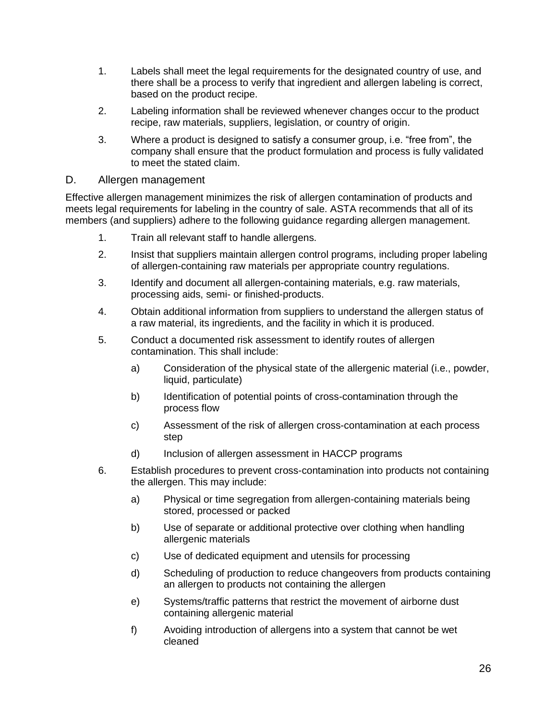- 1. Labels shall meet the legal requirements for the designated country of use, and there shall be a process to verify that ingredient and allergen labeling is correct, based on the product recipe.
- 2. Labeling information shall be reviewed whenever changes occur to the product recipe, raw materials, suppliers, legislation, or country of origin.
- 3. Where a product is designed to satisfy a consumer group, i.e. "free from", the company shall ensure that the product formulation and process is fully validated to meet the stated claim.

#### D. Allergen management

Effective allergen management minimizes the risk of allergen contamination of products and meets legal requirements for labeling in the country of sale. ASTA recommends that all of its members (and suppliers) adhere to the following guidance regarding allergen management.

- 1. Train all relevant staff to handle allergens.
- 2. Insist that suppliers maintain allergen control programs, including proper labeling of allergen-containing raw materials per appropriate country regulations.
- 3. Identify and document all allergen-containing materials, e.g. raw materials, processing aids, semi- or finished-products.
- 4. Obtain additional information from suppliers to understand the allergen status of a raw material, its ingredients, and the facility in which it is produced.
- 5. Conduct a documented risk assessment to identify routes of allergen contamination. This shall include:
	- a) Consideration of the physical state of the allergenic material (i.e., powder, liquid, particulate)
	- b) Identification of potential points of cross-contamination through the process flow
	- c) Assessment of the risk of allergen cross-contamination at each process step
	- d) Inclusion of allergen assessment in HACCP programs
- 6. Establish procedures to prevent cross-contamination into products not containing the allergen. This may include:
	- a) Physical or time segregation from allergen-containing materials being stored, processed or packed
	- b) Use of separate or additional protective over clothing when handling allergenic materials
	- c) Use of dedicated equipment and utensils for processing
	- d) Scheduling of production to reduce changeovers from products containing an allergen to products not containing the allergen
	- e) Systems/traffic patterns that restrict the movement of airborne dust containing allergenic material
	- f) Avoiding introduction of allergens into a system that cannot be wet cleaned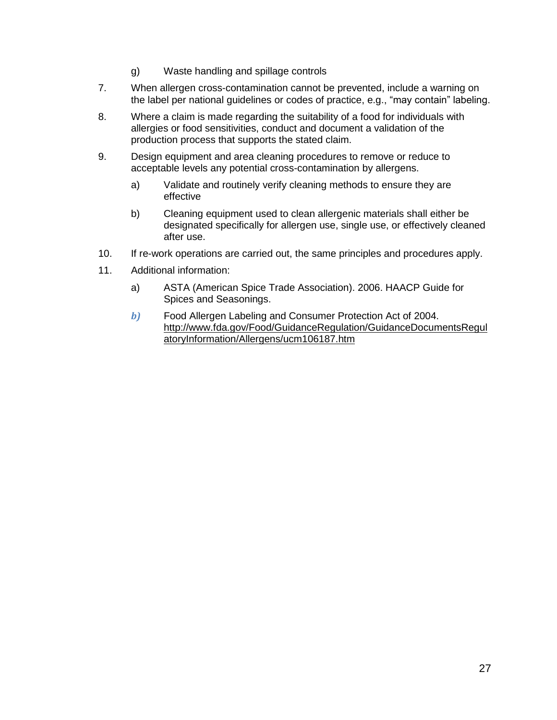- g) Waste handling and spillage controls
- 7. When allergen cross-contamination cannot be prevented, include a warning on the label per national guidelines or codes of practice, e.g., "may contain" labeling.
- 8. Where a claim is made regarding the suitability of a food for individuals with allergies or food sensitivities, conduct and document a validation of the production process that supports the stated claim.
- 9. Design equipment and area cleaning procedures to remove or reduce to acceptable levels any potential cross-contamination by allergens.
	- a) Validate and routinely verify cleaning methods to ensure they are effective
	- b) Cleaning equipment used to clean allergenic materials shall either be designated specifically for allergen use, single use, or effectively cleaned after use.
- 10. If re-work operations are carried out, the same principles and procedures apply.
- 11. Additional information:
	- a) ASTA (American Spice Trade Association). 2006. HAACP Guide for Spices and Seasonings.
	- *b)* Food Allergen Labeling and Consumer Protection Act of 2004. [http://www.fda.gov/Food/GuidanceRegulation/GuidanceDocumentsRegul](http://www.fda.gov/Food/GuidanceRegulation/GuidanceDocumentsRegulatoryInformation/Allergens/ucm106187.htm) [atoryInformation/Allergens/ucm106187.htm](http://www.fda.gov/Food/GuidanceRegulation/GuidanceDocumentsRegulatoryInformation/Allergens/ucm106187.htm)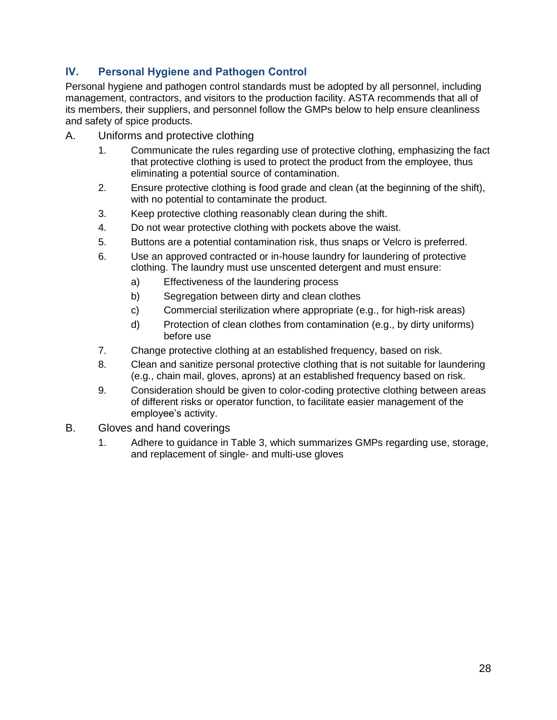# **IV. Personal Hygiene and Pathogen Control**

Personal hygiene and pathogen control standards must be adopted by all personnel, including management, contractors, and visitors to the production facility. ASTA recommends that all of its members, their suppliers, and personnel follow the GMPs below to help ensure cleanliness and safety of spice products.

- A. Uniforms and protective clothing
	- 1. Communicate the rules regarding use of protective clothing, emphasizing the fact that protective clothing is used to protect the product from the employee, thus eliminating a potential source of contamination.
	- 2. Ensure protective clothing is food grade and clean (at the beginning of the shift), with no potential to contaminate the product.
	- 3. Keep protective clothing reasonably clean during the shift.
	- 4. Do not wear protective clothing with pockets above the waist.
	- 5. Buttons are a potential contamination risk, thus snaps or Velcro is preferred.
	- 6. Use an approved contracted or in-house laundry for laundering of protective clothing. The laundry must use unscented detergent and must ensure:
		- a) Effectiveness of the laundering process
		- b) Segregation between dirty and clean clothes
		- c) Commercial sterilization where appropriate (e.g., for high-risk areas)
		- d) Protection of clean clothes from contamination (e.g., by dirty uniforms) before use
	- 7. Change protective clothing at an established frequency, based on risk.
	- 8. Clean and sanitize personal protective clothing that is not suitable for laundering (e.g., chain mail, gloves, aprons) at an established frequency based on risk.
	- 9. Consideration should be given to color-coding protective clothing between areas of different risks or operator function, to facilitate easier management of the employee's activity.
- B. Gloves and hand coverings
	- 1. Adhere to guidance in Table 3, which summarizes GMPs regarding use, storage, and replacement of single- and multi-use gloves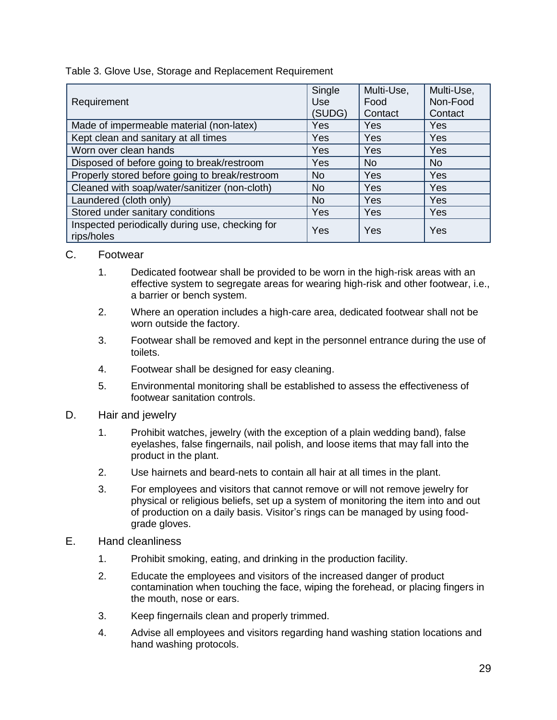Table 3. Glove Use, Storage and Replacement Requirement

| Requirement                                                   | Single<br>Use<br>(SUDG) | Multi-Use,<br>Food<br>Contact | Multi-Use,<br>Non-Food<br>Contact |
|---------------------------------------------------------------|-------------------------|-------------------------------|-----------------------------------|
| Made of impermeable material (non-latex)                      | Yes                     | Yes                           | Yes                               |
| Kept clean and sanitary at all times                          | Yes                     | Yes                           | Yes                               |
| Worn over clean hands                                         | Yes                     | Yes                           | Yes                               |
| Disposed of before going to break/restroom                    | Yes                     | <b>No</b>                     | <b>No</b>                         |
| Properly stored before going to break/restroom                | <b>No</b>               | <b>Yes</b>                    | Yes                               |
| Cleaned with soap/water/sanitizer (non-cloth)                 | <b>No</b>               | Yes                           | Yes                               |
| Laundered (cloth only)                                        | <b>No</b>               | Yes                           | <b>Yes</b>                        |
| Stored under sanitary conditions                              | Yes                     | Yes                           | Yes                               |
| Inspected periodically during use, checking for<br>rips/holes | Yes                     | Yes                           | Yes                               |

- C. Footwear
	- 1. Dedicated footwear shall be provided to be worn in the high-risk areas with an effective system to segregate areas for wearing high-risk and other footwear, i.e., a barrier or bench system.
	- 2. Where an operation includes a high-care area, dedicated footwear shall not be worn outside the factory.
	- 3. Footwear shall be removed and kept in the personnel entrance during the use of toilets.
	- 4. Footwear shall be designed for easy cleaning.
	- 5. Environmental monitoring shall be established to assess the effectiveness of footwear sanitation controls.
- D. Hair and jewelry
	- 1. Prohibit watches, jewelry (with the exception of a plain wedding band), false eyelashes, false fingernails, nail polish, and loose items that may fall into the product in the plant.
	- 2. Use hairnets and beard-nets to contain all hair at all times in the plant.
	- 3. For employees and visitors that cannot remove or will not remove jewelry for physical or religious beliefs, set up a system of monitoring the item into and out of production on a daily basis. Visitor's rings can be managed by using foodgrade gloves.
- E. Hand cleanliness
	- 1. Prohibit smoking, eating, and drinking in the production facility.
	- 2. Educate the employees and visitors of the increased danger of product contamination when touching the face, wiping the forehead, or placing fingers in the mouth, nose or ears.
	- 3. Keep fingernails clean and properly trimmed.
	- 4. Advise all employees and visitors regarding hand washing station locations and hand washing protocols.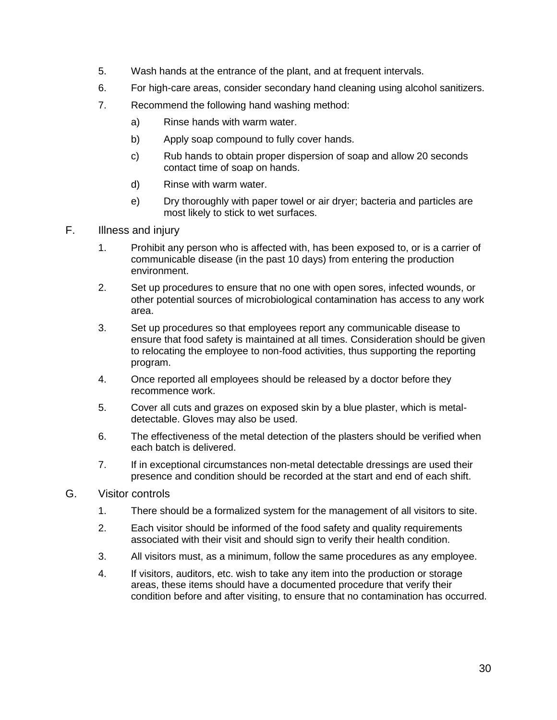- 5. Wash hands at the entrance of the plant, and at frequent intervals.
- 6. For high-care areas, consider secondary hand cleaning using alcohol sanitizers.
- 7. Recommend the following hand washing method:
	- a) Rinse hands with warm water.
	- b) Apply soap compound to fully cover hands.
	- c) Rub hands to obtain proper dispersion of soap and allow 20 seconds contact time of soap on hands.
	- d) Rinse with warm water.
	- e) Dry thoroughly with paper towel or air dryer; bacteria and particles are most likely to stick to wet surfaces.
- F. Illness and injury
	- 1. Prohibit any person who is affected with, has been exposed to, or is a carrier of communicable disease (in the past 10 days) from entering the production environment.
	- 2. Set up procedures to ensure that no one with open sores, infected wounds, or other potential sources of microbiological contamination has access to any work area.
	- 3. Set up procedures so that employees report any communicable disease to ensure that food safety is maintained at all times. Consideration should be given to relocating the employee to non-food activities, thus supporting the reporting program.
	- 4. Once reported all employees should be released by a doctor before they recommence work.
	- 5. Cover all cuts and grazes on exposed skin by a blue plaster, which is metaldetectable. Gloves may also be used.
	- 6. The effectiveness of the metal detection of the plasters should be verified when each batch is delivered.
	- 7. If in exceptional circumstances non-metal detectable dressings are used their presence and condition should be recorded at the start and end of each shift.
- G. Visitor controls
	- 1. There should be a formalized system for the management of all visitors to site.
	- 2. Each visitor should be informed of the food safety and quality requirements associated with their visit and should sign to verify their health condition.
	- 3. All visitors must, as a minimum, follow the same procedures as any employee.
	- 4. If visitors, auditors, etc. wish to take any item into the production or storage areas, these items should have a documented procedure that verify their condition before and after visiting, to ensure that no contamination has occurred.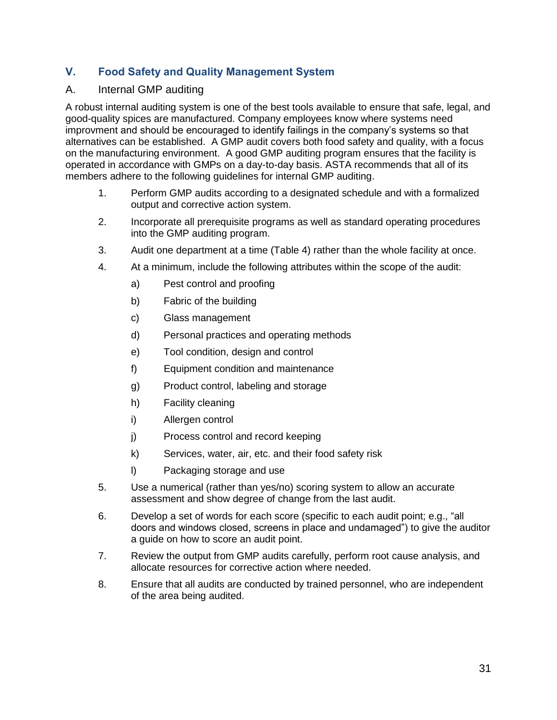# **V. Food Safety and Quality Management System**

#### A. Internal GMP auditing

A robust internal auditing system is one of the best tools available to ensure that safe, legal, and good-quality spices are manufactured. Company employees know where systems need improvment and should be encouraged to identify failings in the company's systems so that alternatives can be established. A GMP audit covers both food safety and quality, with a focus on the manufacturing environment. A good GMP auditing program ensures that the facility is operated in accordance with GMPs on a day-to-day basis. ASTA recommends that all of its members adhere to the following guidelines for internal GMP auditing.

- 1. Perform GMP audits according to a designated schedule and with a formalized output and corrective action system.
- 2. Incorporate all prerequisite programs as well as standard operating procedures into the GMP auditing program.
- 3. Audit one department at a time (Table 4) rather than the whole facility at once.
- 4. At a minimum, include the following attributes within the scope of the audit:
	- a) Pest control and proofing
	- b) Fabric of the building
	- c) Glass management
	- d) Personal practices and operating methods
	- e) Tool condition, design and control
	- f) Equipment condition and maintenance
	- g) Product control, labeling and storage
	- h) Facility cleaning
	- i) Allergen control
	- j) Process control and record keeping
	- k) Services, water, air, etc. and their food safety risk
	- l) Packaging storage and use
- 5. Use a numerical (rather than yes/no) scoring system to allow an accurate assessment and show degree of change from the last audit.
- 6. Develop a set of words for each score (specific to each audit point; e.g., "all doors and windows closed, screens in place and undamaged") to give the auditor a guide on how to score an audit point.
- 7. Review the output from GMP audits carefully, perform root cause analysis, and allocate resources for corrective action where needed.
- 8. Ensure that all audits are conducted by trained personnel, who are independent of the area being audited.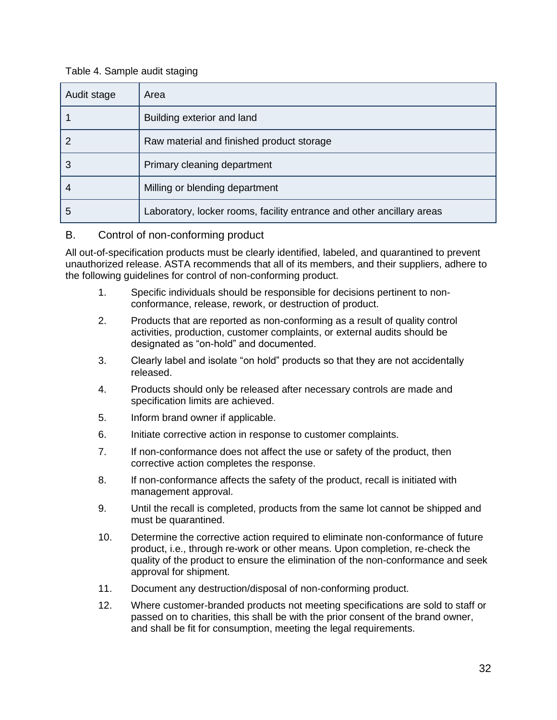#### Table 4. Sample audit staging

| Audit stage | Area                                                                  |
|-------------|-----------------------------------------------------------------------|
|             | Building exterior and land                                            |
| 2           | Raw material and finished product storage                             |
| 3           | Primary cleaning department                                           |
| 4           | Milling or blending department                                        |
| 5           | Laboratory, locker rooms, facility entrance and other ancillary areas |

# B. Control of non-conforming product

All out-of-specification products must be clearly identified, labeled, and quarantined to prevent unauthorized release. ASTA recommends that all of its members, and their suppliers, adhere to the following guidelines for control of non-conforming product.

- 1. Specific individuals should be responsible for decisions pertinent to nonconformance, release, rework, or destruction of product.
- 2. Products that are reported as non-conforming as a result of quality control activities, production, customer complaints, or external audits should be designated as "on-hold" and documented.
- 3. Clearly label and isolate "on hold" products so that they are not accidentally released.
- 4. Products should only be released after necessary controls are made and specification limits are achieved.
- 5. Inform brand owner if applicable.
- 6. Initiate corrective action in response to customer complaints.
- 7. If non-conformance does not affect the use or safety of the product, then corrective action completes the response.
- 8. If non-conformance affects the safety of the product, recall is initiated with management approval.
- 9. Until the recall is completed, products from the same lot cannot be shipped and must be quarantined.
- 10. Determine the corrective action required to eliminate non-conformance of future product, i.e., through re-work or other means. Upon completion, re-check the quality of the product to ensure the elimination of the non-conformance and seek approval for shipment.
- 11. Document any destruction/disposal of non-conforming product.
- 12. Where customer-branded products not meeting specifications are sold to staff or passed on to charities, this shall be with the prior consent of the brand owner, and shall be fit for consumption, meeting the legal requirements.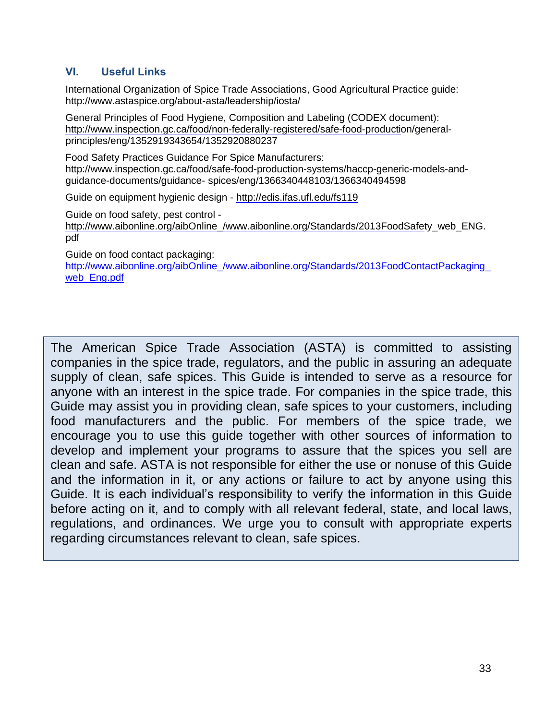# **VI. Useful Links**

International Organization of Spice Trade Associations, Good Agricultural Practice guide: <http://www.astaspice.org/about-asta/leadership/iosta/>

General Principles of Food Hygiene, Composition and Labeling (CODEX document): [http://www.inspection.gc.ca/food/non-federally-registered/safe-food-productio](http://www.inspection.gc.ca/food/non-federally-registered/safe-food-producti)n/generalprinciples/eng/1352919343654/1352920880237

Food Safety Practices Guidance For Spice Manufacturers: [http://www.inspection.gc.ca/food/safe-food-production-systems/haccp-generic-m](http://www.inspection.gc.ca/food/safe-food-production-systems/haccp-generic-)odels-andguidance-documents/guidance- spices/eng/1366340448103/1366340494598

Guide on equipment hygienic design -<http://edis.ifas.ufl.edu/fs119>

Guide on food safety, pest control -

[http://www.aibonline.org/aibOnline\\_/www.aibonline.org/Standards/2013FoodSafet](http://www.aibonline.org/aibOnline_/www.aibonline.org/Standards/2013FoodSafe)y\_web\_ENG. pdf

Guide on food contact packaging:

http://www.aibonline.org/aibOnline\_/www.aibonline.org/Standards/2013FoodContactPackaging web Eng.pdf

The American Spice Trade Association (ASTA) is committed to assisting companies in the spice trade, regulators, and the public in assuring an adequate supply of clean, safe spices. This Guide is intended to serve as a resource for anyone with an interest in the spice trade. For companies in the spice trade, this Guide may assist you in providing clean, safe spices to your customers, including food manufacturers and the public. For members of the spice trade, we encourage you to use this guide together with other sources of information to develop and implement your programs to assure that the spices you sell are clean and safe. ASTA is not responsible for either the use or nonuse of this Guide and the information in it, or any actions or failure to act by anyone using this Guide. It is each individual's responsibility to verify the information in this Guide before acting on it, and to comply with all relevant federal, state, and local laws, regulations, and ordinances. We urge you to consult with appropriate experts regarding circumstances relevant to clean, safe spices.